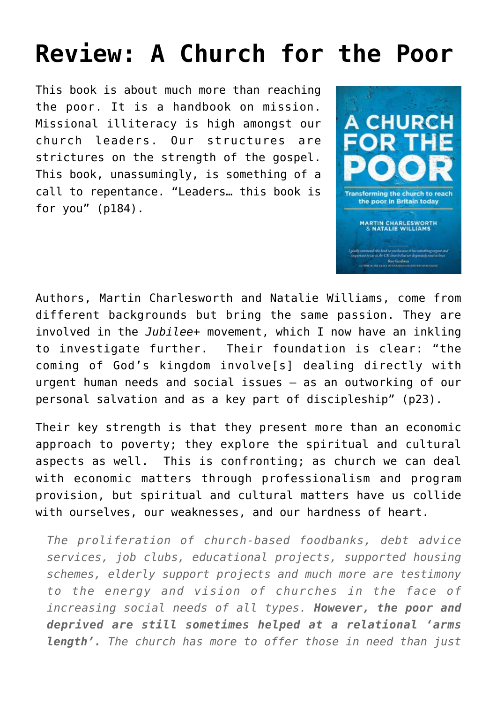## **[Review: A Church for the Poor](https://briggs.id.au/jour/2017/08/a-church-for-the-poor/)**

This book is about much more than reaching the poor. It is a handbook on mission. Missional illiteracy is high amongst our church leaders. Our structures are strictures on the strength of the gospel. This book, unassumingly, is something of a call to repentance. "Leaders… this book is for you" (p184).



Authors, Martin Charlesworth and Natalie Williams, come from different backgrounds but bring the same passion. They are involved in the *[Jubilee+](https://jubilee-plus.org/)* movement, which I now have an inkling to investigate further. Their foundation is clear: "the coming of God's kingdom involve[s] dealing directly with urgent human needs and social issues – as an outworking of our personal salvation and as a key part of discipleship" (p23).

Their key strength is that they present more than an economic approach to poverty; they explore the spiritual and cultural aspects as well. This is confronting; as church we can deal with economic matters through professionalism and program provision, but spiritual and cultural matters have us collide with ourselves, our weaknesses, and our hardness of heart.

*The proliferation of church-based foodbanks, debt advice services, job clubs, educational projects, supported housing schemes, elderly support projects and much more are testimony to the energy and vision of churches in the face of increasing social needs of all types. However, the poor and deprived are still sometimes helped at a relational 'arms length'. The church has more to offer those in need than just*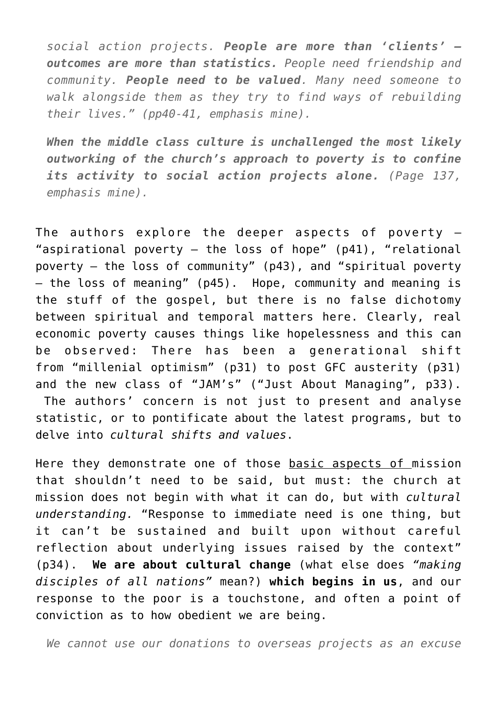*social action projects. People are more than 'clients' – outcomes are more than statistics. People need friendship and community. People need to be valued. Many need someone to walk alongside them as they try to find ways of rebuilding their lives." (pp40-41, emphasis mine).*

*When the middle class culture is unchallenged the most likely outworking of the church's approach to poverty is to confine its activity to social action projects alone. (Page 137, emphasis mine).*

The authors explore the deeper aspects of poverty  $-$ "aspirational poverty  $-$  the loss of hope" (p41), "relational poverty – the loss of community" (p43), and "spiritual poverty – the loss of meaning" (p45). Hope, community and meaning is the stuff of the gospel, but there is no false dichotomy between spiritual and temporal matters here. Clearly, real economic poverty causes things like hopelessness and this can be observed: There has been a generational shift from "millenial optimism" (p31) to post GFC austerity (p31) and the new class of "JAM's" ("Just About Managing", p33). The authors' concern is not just to present and analyse statistic, or to pontificate about the latest programs, but to delve into *cultural shifts and values*.

Here they demonstrate one of those basic aspects of mission that shouldn't need to be said, but must: the church at mission does not begin with what it can do, but with *cultural understanding.* "Response to immediate need is one thing, but it can't be sustained and built upon without careful reflection about underlying issues raised by the context" (p34). **We are about cultural change** (what else does *"making disciples of all nations"* mean?) **which begins in us**, and our response to the poor is a touchstone, and often a point of conviction as to how obedient we are being.

*We cannot use our donations to overseas projects as an excuse*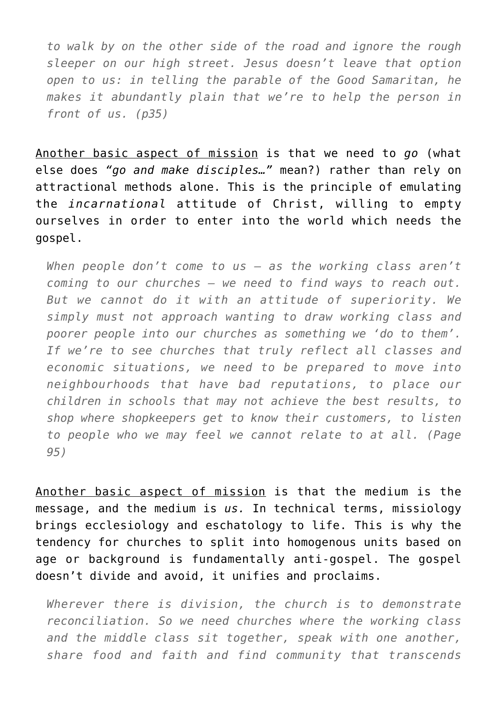*to walk by on the other side of the road and ignore the rough sleeper on our high street. Jesus doesn't leave that option open to us: in telling the parable of the Good Samaritan, he makes it abundantly plain that we're to help the person in front of us. (p35)*

Another basic aspect of mission is that we need to *go* (what else does *"go and make disciples…"* mean?) rather than rely on attractional methods alone. This is the principle of emulating the *incarnational* attitude of Christ, willing to empty ourselves in order to enter into the world which needs the gospel.

*When people don't come to us – as the working class aren't coming to our churches – we need to find ways to reach out. But we cannot do it with an attitude of superiority. We simply must not approach wanting to draw working class and poorer people into our churches as something we 'do to them'. If we're to see churches that truly reflect all classes and economic situations, we need to be prepared to move into neighbourhoods that have bad reputations, to place our children in schools that may not achieve the best results, to shop where shopkeepers get to know their customers, to listen to people who we may feel we cannot relate to at all. (Page 95)*

Another basic aspect of mission is that the medium is the message, and the medium is *us.* In technical terms, missiology brings ecclesiology and eschatology to life. This is why the tendency for churches to split into homogenous units based on age or background is fundamentally anti-gospel. The gospel doesn't divide and avoid, it unifies and proclaims.

*Wherever there is division, the church is to demonstrate reconciliation. So we need churches where the working class and the middle class sit together, speak with one another, share food and faith and find community that transcends*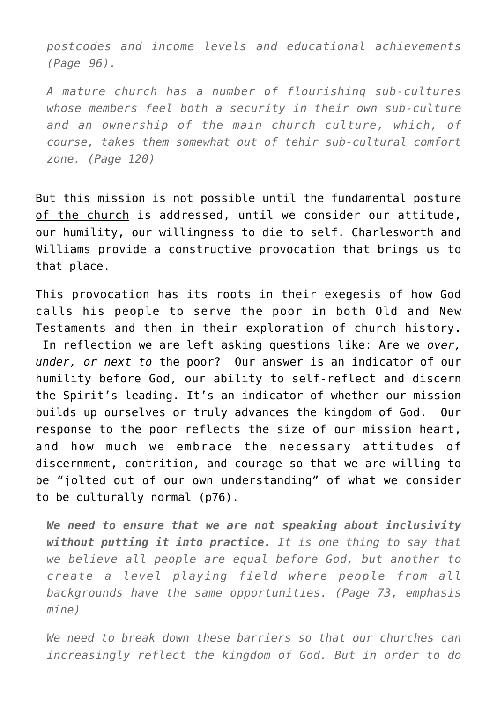*postcodes and income levels and educational achievements (Page 96).*

*A mature church has a number of flourishing sub-cultures whose members feel both a security in their own sub-culture and an ownership of the main church culture, which, of course, takes them somewhat out of tehir sub-cultural comfort zone. (Page 120)*

But this mission is not possible until the fundamental posture of the church is addressed, until we consider our attitude, our humility, our willingness to die to self. Charlesworth and Williams provide a constructive provocation that brings us to that place.

This provocation has its roots in their exegesis of how God calls his people to serve the poor in both Old and New Testaments and then in their exploration of church history. In reflection we are left asking questions like: Are we *over, under, or next to* the poor? Our answer is an indicator of our humility before God, our ability to self-reflect and discern the Spirit's leading. It's an indicator of whether our mission builds up ourselves or truly advances the kingdom of God. Our response to the poor reflects the size of our mission heart, and how much we embrace the necessary attitudes of discernment, contrition, and courage so that we are willing to be "jolted out of our own understanding" of what we consider to be culturally normal (p76).

*We need to ensure that we are not speaking about inclusivity without putting it into practice. It is one thing to say that we believe all people are equal before God, but another to create a level playing field where people from all backgrounds have the same opportunities. (Page 73, emphasis mine)*

*We need to break down these barriers so that our churches can increasingly reflect the kingdom of God. But in order to do*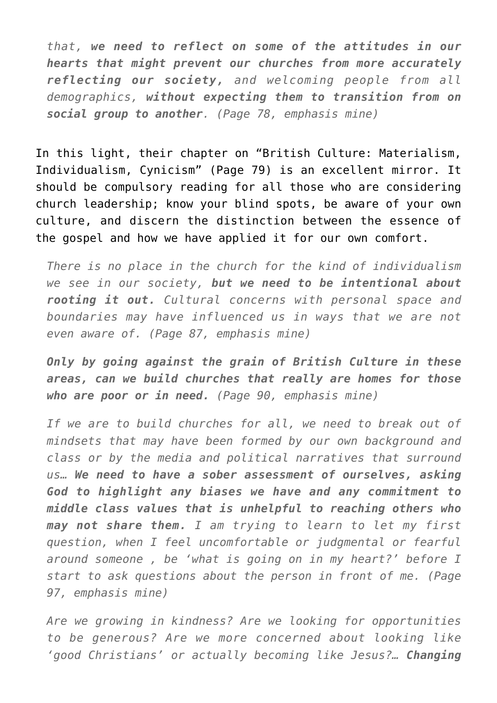*that, we need to reflect on some of the attitudes in our hearts that might prevent our churches from more accurately reflecting our society, and welcoming people from all demographics, without expecting them to transition from on social group to another. (Page 78, emphasis mine)*

In this light, their chapter on "British Culture: Materialism, Individualism, Cynicism" (Page 79) is an excellent mirror. It should be compulsory reading for all those who are considering church leadership; know your blind spots, be aware of your own culture, and discern the distinction between the essence of the gospel and how we have applied it for our own comfort.

*There is no place in the church for the kind of individualism we see in our society, but we need to be intentional about rooting it out. Cultural concerns with personal space and boundaries may have influenced us in ways that we are not even aware of. (Page 87, emphasis mine)*

*Only by going against the grain of British Culture in these areas, can we build churches that really are homes for those who are poor or in need. (Page 90, emphasis mine)*

*If we are to build churches for all, we need to break out of mindsets that may have been formed by our own background and class or by the media and political narratives that surround us… We need to have a sober assessment of ourselves, asking God to highlight any biases we have and any commitment to middle class values that is unhelpful to reaching others who may not share them. I am trying to learn to let my first question, when I feel uncomfortable or judgmental or fearful around someone , be 'what is going on in my heart?' before I start to ask questions about the person in front of me. (Page 97, emphasis mine)*

*Are we growing in kindness? Are we looking for opportunities to be generous? Are we more concerned about looking like 'good Christians' or actually becoming like Jesus?… Changing*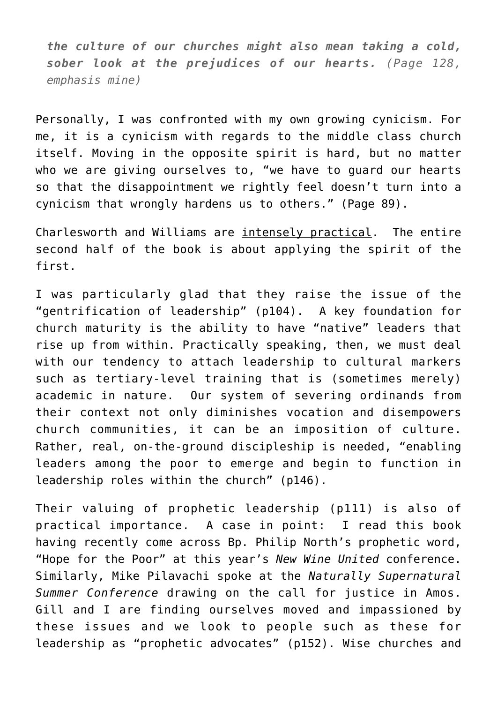*the culture of our churches might also mean taking a cold, sober look at the prejudices of our hearts. (Page 128, emphasis mine)*

Personally, I was confronted with my own growing cynicism. For me, it is a cynicism with regards to the middle class church itself. Moving in the opposite spirit is hard, but no matter who we are giving ourselves to, "we have to guard our hearts so that the disappointment we rightly feel doesn't turn into a cynicism that wrongly hardens us to others." (Page 89).

Charlesworth and Williams are intensely practical. The entire second half of the book is about applying the spirit of the first.

I was particularly glad that they raise the issue of the "gentrification of leadership" (p104). A key foundation for church maturity is the ability to have "native" leaders that rise up from within. Practically speaking, then, we must deal with our tendency to attach leadership to cultural markers such as tertiary-level training that is (sometimes merely) academic in nature. Our system of severing ordinands from their context not only diminishes vocation and disempowers church communities, it can be an imposition of culture. Rather, real, on-the-ground discipleship is needed, "enabling leaders among the poor to emerge and begin to function in leadership roles within the church" (p146).

Their valuing of prophetic leadership (p111) is also of practical importance. A case in point: I read this book having recently come across Bp. Philip North's [prophetic word,](http://www.blackburn.anglican.org/storage/general-files/shares/Resources/Tlaks%20articles%20and%20sermons/Hope_for_the_Poor_-__P_article__Word_document_.pdf) "Hope for the Poor" at this year's *New Wine United* conference. Similarly, Mike Pilavachi spoke at the *Naturally Supernatural Summer Conference* drawing on the call for justice in Amos. Gill and I are finding ourselves moved and impassioned by these issues and we look to people such as these for leadership as "prophetic advocates" (p152). Wise churches and